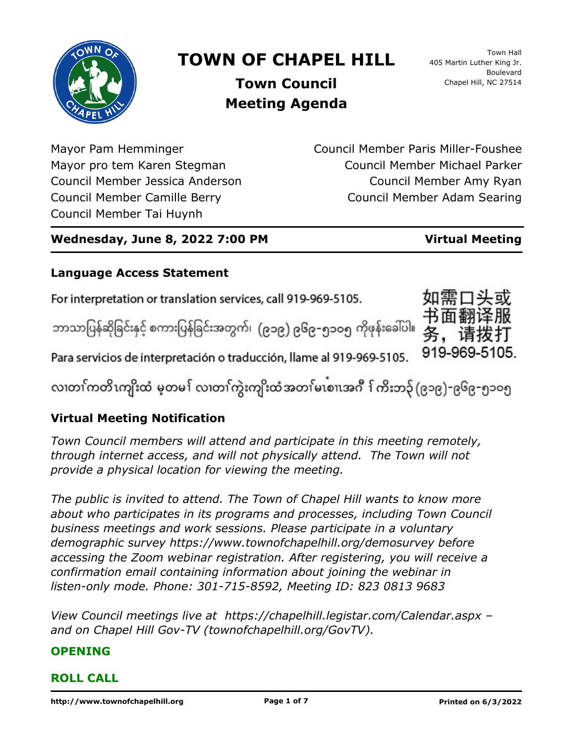

# **TOWN OF CHAPEL HILL**

Town Hall 405 Martin Luther King Jr. Boulevard Chapel Hill, NC 27514

**Town Council Meeting Agenda**

Mayor Pam Hemminger Mayor pro tem Karen Stegman Council Member Jessica Anderson Council Member Camille Berry Council Member Tai Huynh

Council Member Paris Miller-Foushee Council Member Michael Parker Council Member Amy Ryan Council Member Adam Searing

# **Wednesday, June 8, 2022 7:00 PM Virtual Meeting**

# **Language Access Statement**

For interpretation or translation services, call 919-969-5105.

ဘာသာပြန်ဆိုခြင်းနှင့် စကားပြန်ခြင်းအတွက်၊ (၉၁၉) ၉၆၉–၅၁ဝ၅ ကိုဖုန်းခေါ်ပါ။



လ၊တၢ်ကတိၤကျိးထံ မ့တမ႑် လ၊တၢ်ကွဲးကျိးထံအတၤ်မၤစၢ၊အဂီ ႑်ကိးဘ၃် (၉၁၉)-၉၆၉-၅၁၀၅

# **Virtual Meeting Notification**

*Town Council members will attend and participate in this meeting remotely, through internet access, and will not physically attend. The Town will not provide a physical location for viewing the meeting.*

*The public is invited to attend. The Town of Chapel Hill wants to know more about who participates in its programs and processes, including Town Council business meetings and work sessions. Please participate in a voluntary demographic survey https://www.townofchapelhill.org/demosurvey before accessing the Zoom webinar registration. After registering, you will receive a confirmation email containing information about joining the webinar in listen-only mode. Phone: 301-715-8592, Meeting ID: 823 0813 9683*

*View Council meetings live at https://chapelhill.legistar.com/Calendar.aspx – and on Chapel Hill Gov-TV (townofchapelhill.org/GovTV).*

# **OPENING**

# **ROLL CALL**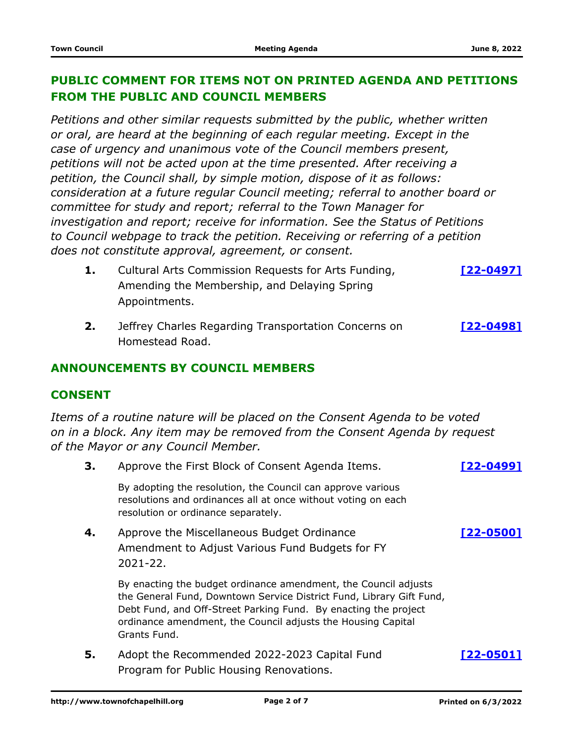### **PUBLIC COMMENT FOR ITEMS NOT ON PRINTED AGENDA AND PETITIONS FROM THE PUBLIC AND COUNCIL MEMBERS**

*Petitions and other similar requests submitted by the public, whether written or oral, are heard at the beginning of each regular meeting. Except in the case of urgency and unanimous vote of the Council members present, petitions will not be acted upon at the time presented. After receiving a petition, the Council shall, by simple motion, dispose of it as follows: consideration at a future regular Council meeting; referral to another board or committee for study and report; referral to the Town Manager for investigation and report; receive for information. See the Status of Petitions to Council webpage to track the petition. Receiving or referring of a petition does not constitute approval, agreement, or consent.*

- Cultural Arts Commission Requests for Arts Funding, **1. [\[22-0497\]](http://chapelhill.legistar.com/gateway.aspx?m=l&id=/matter.aspx?key=8046)** Amending the Membership, and Delaying Spring Appointments.
- Jeffrey Charles Regarding Transportation Concerns on **2. [\[22-0498\]](http://chapelhill.legistar.com/gateway.aspx?m=l&id=/matter.aspx?key=8074)** Homestead Road.

#### **ANNOUNCEMENTS BY COUNCIL MEMBERS**

#### **CONSENT**

*Items of a routine nature will be placed on the Consent Agenda to be voted on in a block. Any item may be removed from the Consent Agenda by request of the Mayor or any Council Member.*

**3.** Approve the First Block of Consent Agenda Items. **[\[22-0499\]](http://chapelhill.legistar.com/gateway.aspx?m=l&id=/matter.aspx?key=7459)** By adopting the resolution, the Council can approve various resolutions and ordinances all at once without voting on each resolution or ordinance separately. Approve the Miscellaneous Budget Ordinance **4. [\[22-0500\]](http://chapelhill.legistar.com/gateway.aspx?m=l&id=/matter.aspx?key=8039)** Amendment to Adjust Various Fund Budgets for FY 2021-22. By enacting the budget ordinance amendment, the Council adjusts the General Fund, Downtown Service District Fund, Library Gift Fund, Debt Fund, and Off-Street Parking Fund. By enacting the project ordinance amendment, the Council adjusts the Housing Capital Grants Fund. Adopt the Recommended 2022-2023 Capital Fund **5. [\[22-0501\]](http://chapelhill.legistar.com/gateway.aspx?m=l&id=/matter.aspx?key=7991)** Program for Public Housing Renovations.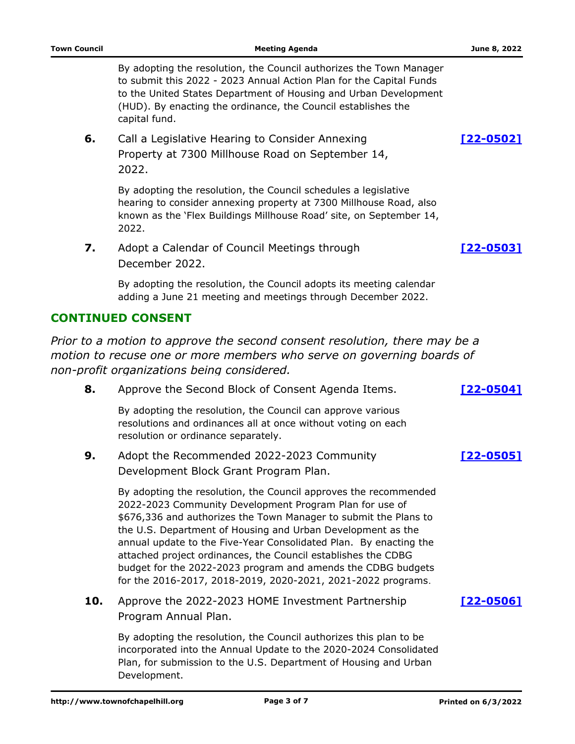By adopting the resolution, the Council authorizes the Town Manager to submit this 2022 - 2023 Annual Action Plan for the Capital Funds to the United States Department of Housing and Urban Development (HUD). By enacting the ordinance, the Council establishes the capital fund.

Call a Legislative Hearing to Consider Annexing **6. [\[22-0502\]](http://chapelhill.legistar.com/gateway.aspx?m=l&id=/matter.aspx?key=8012)** Property at 7300 Millhouse Road on September 14, 2022.

By adopting the resolution, the Council schedules a legislative hearing to consider annexing property at 7300 Millhouse Road, also known as the 'Flex Buildings Millhouse Road' site, on September 14, 2022.

Adopt a Calendar of Council Meetings through **7. [\[22-0503\]](http://chapelhill.legistar.com/gateway.aspx?m=l&id=/matter.aspx?key=7802)** December 2022.

By adopting the resolution, the Council adopts its meeting calendar adding a June 21 meeting and meetings through December 2022.

#### **CONTINUED CONSENT**

*Prior to a motion to approve the second consent resolution, there may be a motion to recuse one or more members who serve on governing boards of non-profit organizations being considered.*

| 8.  | Approve the Second Block of Consent Agenda Items.                                                                                                                                                                                                                                                                                                                                                                                                                                                                                    | $22 - 05041$     |
|-----|--------------------------------------------------------------------------------------------------------------------------------------------------------------------------------------------------------------------------------------------------------------------------------------------------------------------------------------------------------------------------------------------------------------------------------------------------------------------------------------------------------------------------------------|------------------|
|     | By adopting the resolution, the Council can approve various<br>resolutions and ordinances all at once without voting on each<br>resolution or ordinance separately.                                                                                                                                                                                                                                                                                                                                                                  |                  |
| 9.  | Adopt the Recommended 2022-2023 Community<br>Development Block Grant Program Plan.                                                                                                                                                                                                                                                                                                                                                                                                                                                   | <u>[22-0505]</u> |
|     | By adopting the resolution, the Council approves the recommended<br>2022-2023 Community Development Program Plan for use of<br>\$676,336 and authorizes the Town Manager to submit the Plans to<br>the U.S. Department of Housing and Urban Development as the<br>annual update to the Five-Year Consolidated Plan. By enacting the<br>attached project ordinances, the Council establishes the CDBG<br>budget for the 2022-2023 program and amends the CDBG budgets<br>for the 2016-2017, 2018-2019, 2020-2021, 2021-2022 programs. |                  |
| 10. | Approve the 2022-2023 HOME Investment Partnership<br>Program Annual Plan.                                                                                                                                                                                                                                                                                                                                                                                                                                                            | [22-0506]        |
|     | By adopting the resolution, the Council authorizes this plan to be<br>incorporated into the Annual Undate to the 2020-2024 Consolidated                                                                                                                                                                                                                                                                                                                                                                                              |                  |

incorporated into the Annual Update to the 2020-2024 Consolidated Plan, for submission to the U.S. Department of Housing and Urban Development.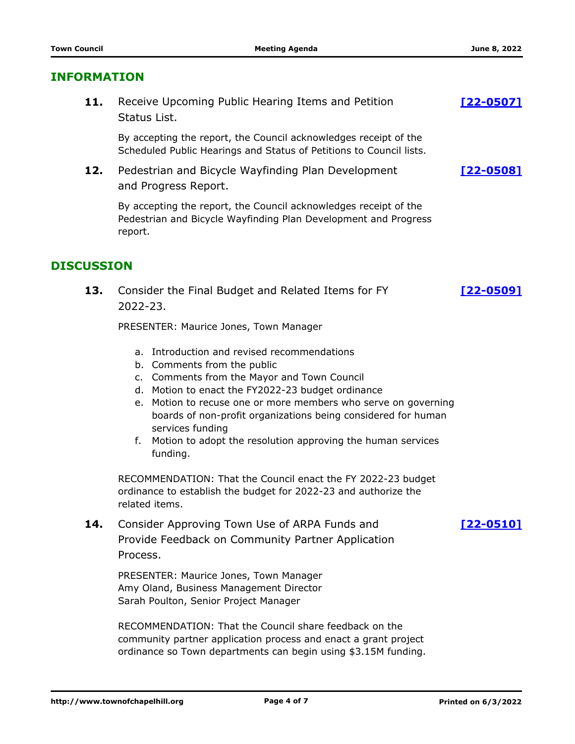#### **INFORMATION**

**11.** Receive Upcoming Public Hearing Items and Petition **1997-19901** Status List.

By accepting the report, the Council acknowledges receipt of the Scheduled Public Hearings and Status of Petitions to Council lists.

Pedestrian and Bicycle Wayfinding Plan Development **12. [\[22-0508\]](http://chapelhill.legistar.com/gateway.aspx?m=l&id=/matter.aspx?key=7717)** and Progress Report.

By accepting the report, the Council acknowledges receipt of the Pedestrian and Bicycle Wayfinding Plan Development and Progress report.

#### **DISCUSSION**

Consider the Final Budget and Related Items for FY **13. [\[22-0509\]](http://chapelhill.legistar.com/gateway.aspx?m=l&id=/matter.aspx?key=8077)** 2022-23.

PRESENTER: Maurice Jones, Town Manager

- a. Introduction and revised recommendations
- b. Comments from the public
- c. Comments from the Mayor and Town Council
- d. Motion to enact the FY2022-23 budget ordinance
- e. Motion to recuse one or more members who serve on governing boards of non-profit organizations being considered for human services funding
- f. Motion to adopt the resolution approving the human services funding.

RECOMMENDATION: That the Council enact the FY 2022-23 budget ordinance to establish the budget for 2022-23 and authorize the related items.

Consider Approving Town Use of ARPA Funds and **14. [\[22-0510\]](http://chapelhill.legistar.com/gateway.aspx?m=l&id=/matter.aspx?key=8076)** Provide Feedback on Community Partner Application Process.

PRESENTER: Maurice Jones, Town Manager Amy Oland, Business Management Director Sarah Poulton, Senior Project Manager

RECOMMENDATION: That the Council share feedback on the community partner application process and enact a grant project ordinance so Town departments can begin using \$3.15M funding.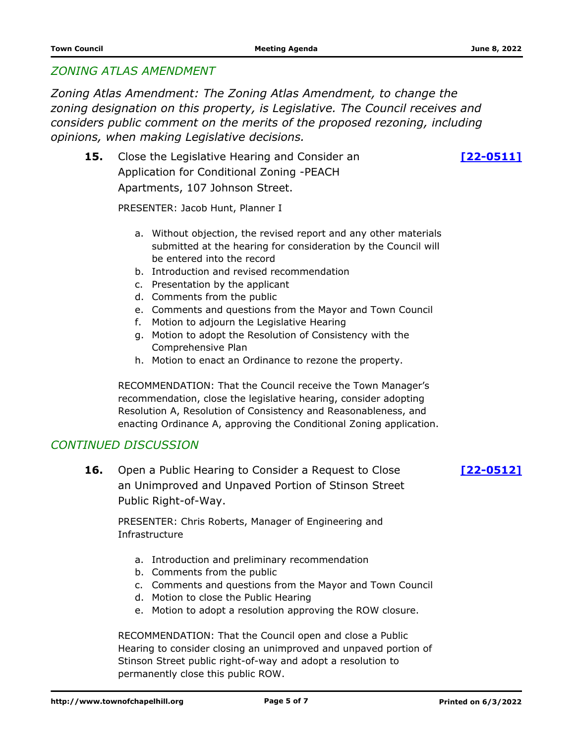#### *ZONING ATLAS AMENDMENT*

*Zoning Atlas Amendment: The Zoning Atlas Amendment, to change the zoning designation on this property, is Legislative. The Council receives and considers public comment on the merits of the proposed rezoning, including opinions, when making Legislative decisions.*

**15.** Close the Legislative Hearing and Consider an **15. 122-05111** Application for Conditional Zoning -PEACH Apartments, 107 Johnson Street.

PRESENTER: Jacob Hunt, Planner I

- a. Without objection, the revised report and any other materials submitted at the hearing for consideration by the Council will be entered into the record
- b. Introduction and revised recommendation
- c. Presentation by the applicant
- d. Comments from the public
- e. Comments and questions from the Mayor and Town Council
- f. Motion to adjourn the Legislative Hearing
- g. Motion to adopt the Resolution of Consistency with the Comprehensive Plan
- h. Motion to enact an Ordinance to rezone the property.

RECOMMENDATION: That the Council receive the Town Manager's recommendation, close the legislative hearing, consider adopting Resolution A, Resolution of Consistency and Reasonableness, and enacting Ordinance A, approving the Conditional Zoning application.

#### *CONTINUED DISCUSSION*

**16.** Open a Public Hearing to Consider a Request to Close [\[22-0512\]](http://chapelhill.legistar.com/gateway.aspx?m=l&id=/matter.aspx?key=7913) an Unimproved and Unpaved Portion of Stinson Street Public Right-of-Way.

PRESENTER: Chris Roberts, Manager of Engineering and Infrastructure

- a. Introduction and preliminary recommendation
- b. Comments from the public
- c. Comments and questions from the Mayor and Town Council
- d. Motion to close the Public Hearing
- e. Motion to adopt a resolution approving the ROW closure.

RECOMMENDATION: That the Council open and close a Public Hearing to consider closing an unimproved and unpaved portion of Stinson Street public right-of-way and adopt a resolution to permanently close this public ROW.